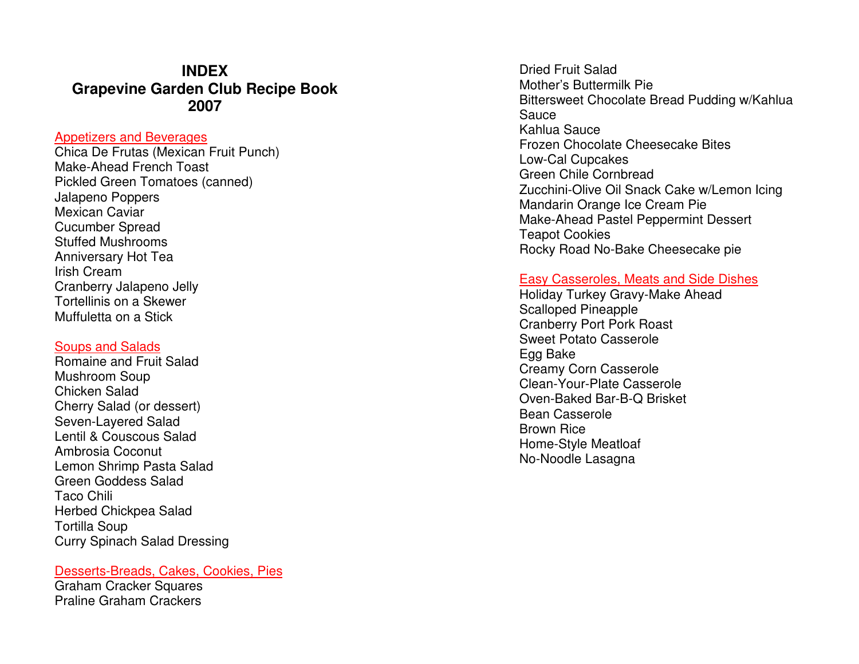## **INDEX Grapevine Garden Club Recipe Book 2007**

#### Appetizers and Beverages

 Chica De Frutas (Mexican Fruit Punch) Make-Ahead French Toast Pickled Green Tomatoes (canned) Jalapeno Poppers Mexican Caviar Cucumber Spread Stuffed Mushrooms Anniversary Hot Tea Irish Cream Cranberry Jalapeno Jelly Tortellinis on a Skewer Muffuletta on a Stick

#### Soups and Salads

 Romaine and Fruit Salad Mushroom Soup Chicken Salad Cherry Salad (or dessert) Seven-Layered Salad Lentil & Couscous Salad Ambrosia Coconut Lemon Shrimp Pasta Salad Green Goddess Salad Taco Chili Herbed Chickpea Salad Tortilla Soup Curry Spinach Salad Dressing

#### Desserts-Breads, Cakes, Cookies, Pies

Graham Cracker Squares Praline Graham Crackers

Dried Fruit Salad Mother's Buttermilk Pie Bittersweet Chocolate Bread Pudding w/Kahlua Sauce Kahlua Sauce Frozen Chocolate Cheesecake Bites Low-Cal Cupcakes Green Chile Cornbread Zucchini-Olive Oil Snack Cake w/Lemon Icing Mandarin Orange Ice Cream Pie Make-Ahead Pastel Peppermint Dessert Teapot Cookies Rocky Road No-Bake Cheesecake pie

#### Easy Casseroles, Meats and Side Dishes

Holiday Turkey Gravy-Make Ahead Scalloped Pineapple Cranberry Port Pork Roast Sweet Potato Casserole Egg Bake Creamy Corn Casserole Clean-Your-Plate Casserole Oven-Baked Bar-B-Q Brisket Bean Casserole Brown Rice Home-Style Meatloaf No-Noodle Lasagna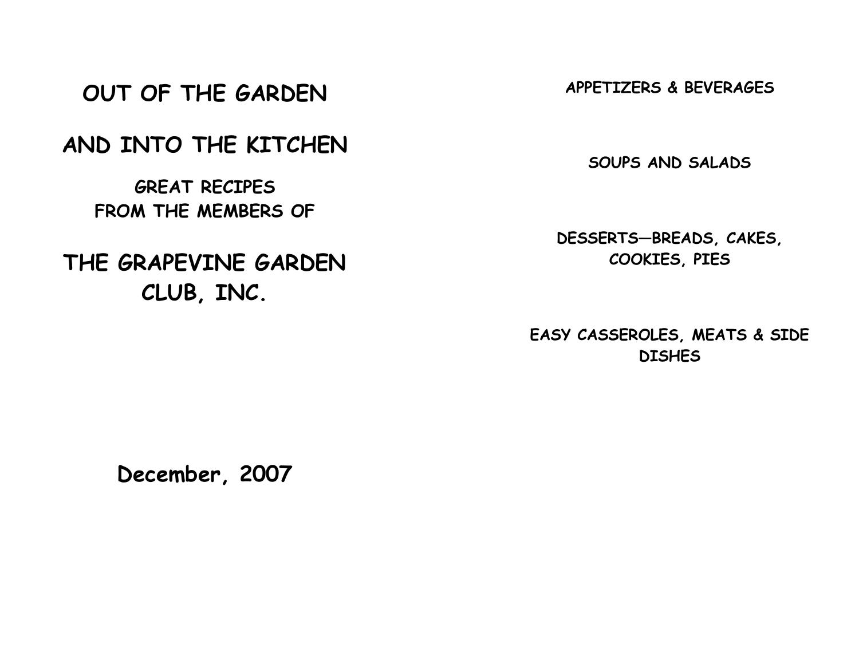# OUT OF THE GARDEN

## AND INTO THE KITCHEN

GREAT RECIPES FROM THE MEMBERS OF

# THE GRAPEVINE GARDEN CLUB, INC.

APPETIZERS & BEVERAGES

SOUPS AND SALADS

DESSERTS—BREADS, CAKES, COOKIES, PIES

EASY CASSEROLES, MEATS & SIDE **DISHES** 

December, 2007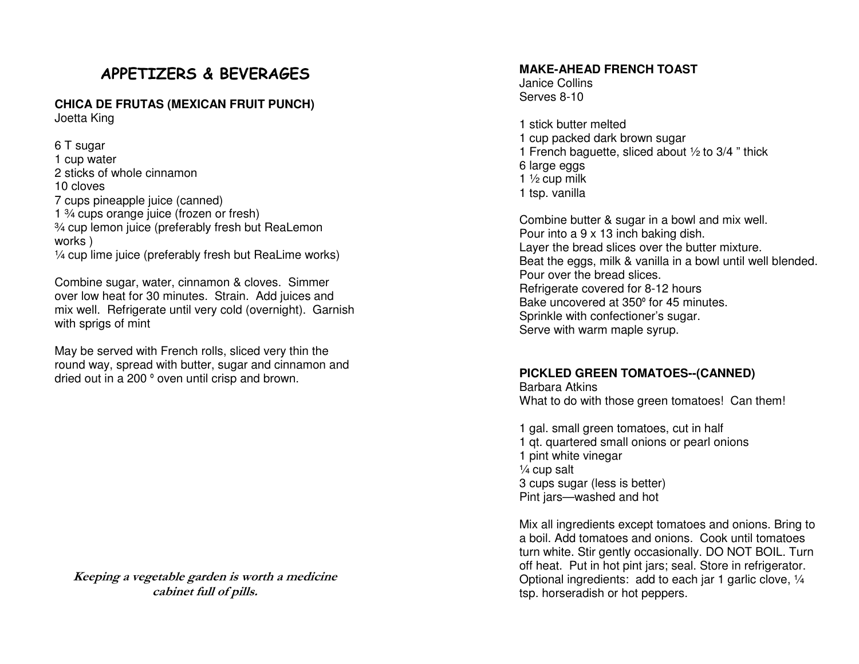## APPETIZERS & BEVERAGES

**CHICA DE FRUTAS (MEXICAN FRUIT PUNCH)** Joetta King

6 T sugar 1 cup water 2 sticks of whole cinnamon 10 cloves 7 cups pineapple juice (canned) 1 ¾ cups orange juice (frozen or fresh) ¾ cup lemon juice (preferably fresh but ReaLemon works ) ¼ cup lime juice (preferably fresh but ReaLime works)

Combine sugar, water, cinnamon & cloves. Simmer over low heat for 30 minutes. Strain. Add juices and mix well. Refrigerate until very cold (overnight). Garnish with sprigs of mint

May be served with French rolls, sliced very thin the round way, spread with butter, sugar and cinnamon and dried out in a 200 º oven until crisp and brown.

Keeping a vegetable garden is worth a medicine cabinet full of pills.

#### **MAKE-AHEAD FRENCH TOAST**

Janice Collins Serves 8-10

1 stick butter melted 1 cup packed dark brown sugar 1 French baguette, sliced about  $\frac{1}{2}$  to 3/4 " thick 6 large eggs 1  $\frac{1}{2}$  cup milk 1 tsp. vanilla

Combine butter & sugar in a bowl and mix well. Pour into a 9 x 13 inch baking dish. Layer the bread slices over the butter mixture. Beat the eggs, milk & vanilla in a bowl until well blended. Pour over the bread slices. Refrigerate covered for 8-12 hours Bake uncovered at 350º for 45 minutes. Sprinkle with confectioner's sugar. Serve with warm maple syrup.

#### **PICKLED GREEN TOMATOES--(CANNED)**

Barbara Atkins What to do with those green tomatoes! Can them!

1 gal. small green tomatoes, cut in half 1 qt. quartered small onions or pearl onions 1 pint white vinegar  $\frac{1}{4}$  cup salt 3 cups sugar (less is better) Pint jars—washed and hot

Mix all ingredients except tomatoes and onions. Bring to a boil. Add tomatoes and onions. Cook until tomatoes turn white. Stir gently occasionally. DO NOT BOIL. Turn off heat. Put in hot pint jars; seal. Store in refrigerator. Optional ingredients: add to each jar 1 garlic clove, 1/4 tsp. horseradish or hot peppers.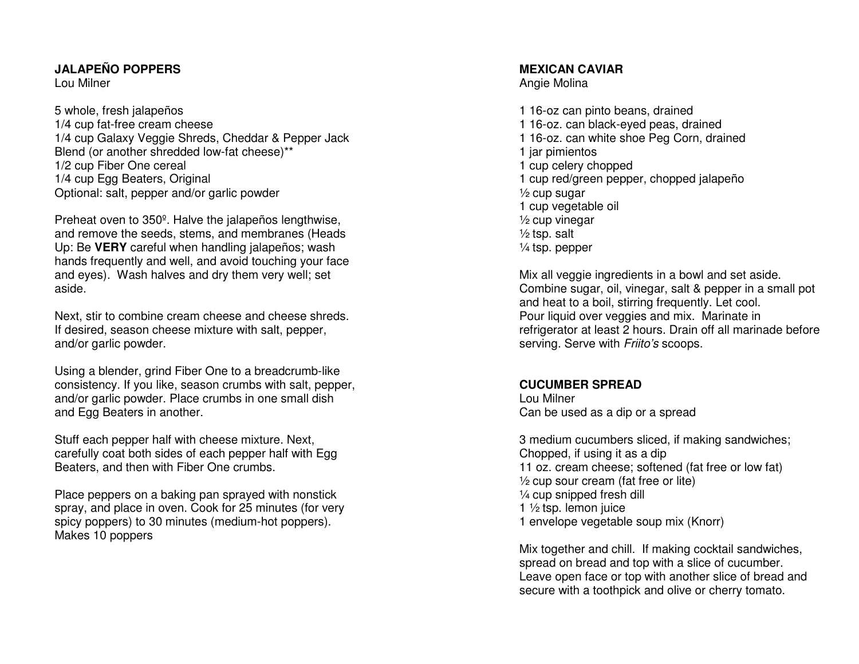#### **JALAPEÑO POPPERS**

Lou Milner

5 whole, fresh jalapeños 1/4 cup fat-free cream cheese 1/4 cup Galaxy Veggie Shreds, Cheddar & Pepper JackBlend (or another shredded low-fat cheese)\*\* 1/2 cup Fiber One cereal 1/4 cup Egg Beaters, Original Optional: salt, pepper and/or garlic powder

Preheat oven to 350º. Halve the jalapeños lengthwise, and remove the seeds, stems, and membranes (Heads Up: Be **VERY** careful when handling jalapeños; wash hands frequently and well, and avoid touching your face and eyes). Wash halves and dry them very well; setaside.

Next, stir to combine cream cheese and cheese shreds. If desired, season cheese mixture with salt, pepper, and/or garlic powder.

Using a blender, grind Fiber One to a breadcrumb-like consistency. If you like, season crumbs with salt, pepper, and/or garlic powder. Place crumbs in one small dish and Egg Beaters in another.

Stuff each pepper half with cheese mixture. Next, carefully coat both sides of each pepper half with Egg Beaters, and then with Fiber One crumbs.

Place peppers on a baking pan sprayed with nonstick spray, and place in oven. Cook for 25 minutes (for very spicy poppers) to 30 minutes (medium-hot poppers). Makes 10 poppers

#### **MEXICAN CAVIAR**

Angie Molina

1 16-oz can pinto beans, drained 1 16-oz. can black-eyed peas, drained 1 16-oz. can white shoe Peg Corn, drained 1 jar pimientos 1 cup celery chopped 1 cup red/green pepper, chopped jalapeño ½ cup sugar 1 cup vegetable oil ½ cup vinegar  $\frac{1}{2}$  tsp. salt ¼ tsp. pepper

Mix all veggie ingredients in a bowl and set aside. Combine sugar, oil, vinegar, salt & pepper in a small pot and heat to a boil, stirring frequently. Let cool. Pour liquid over veggies and mix. Marinate in refrigerator at least 2 hours. Drain off all marinade before serving. Serve with Friito's scoops.

#### **CUCUMBER SPREAD**

Lou Milner Can be used as a dip or a spread

3 medium cucumbers sliced, if making sandwiches; Chopped, if using it as a dip 11 oz. cream cheese; softened (fat free or low fat) $\frac{1}{2}$  cup sour cream (fat free or lite) ¼ cup snipped fresh dill 1 ½ tsp. lemon juice 1 envelope vegetable soup mix (Knorr)

Mix together and chill. If making cocktail sandwiches, spread on bread and top with a slice of cucumber. Leave open face or top with another slice of bread and secure with a toothpick and olive or cherry tomato.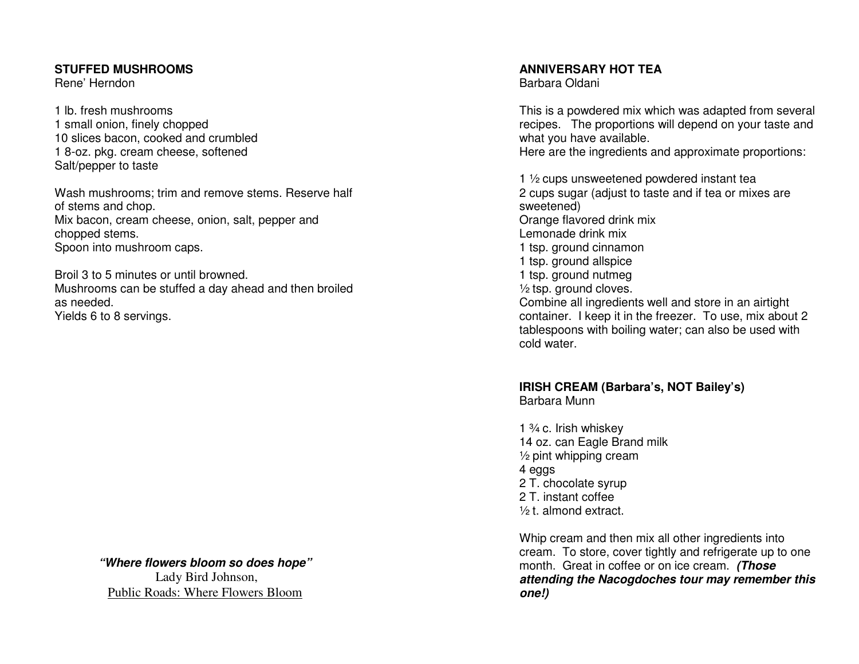#### **STUFFED MUSHROOMS**

Rene' Herndon

1 lb. fresh mushrooms 1 small onion, finely chopped 10 slices bacon, cooked and crumbled 1 8-oz. pkg. cream cheese, softened Salt/pepper to taste

Wash mushrooms; trim and remove stems. Reserve halfof stems and chop. Mix bacon, cream cheese, onion, salt, pepper and chopped stems. Spoon into mushroom caps.

Broil 3 to 5 minutes or until browned. Mushrooms can be stuffed a day ahead and then broiled as needed. Yields 6 to 8 servings.

> **"Where flowers bloom so does hope"**  Lady Bird Johnson, Public Roads: Where Flowers Bloom

**ANNIVERSARY HOT TEA** 

Barbara Oldani

This is a powdered mix which was adapted from several recipes. The proportions will depend on your taste and what you have available.

Here are the ingredients and approximate proportions:

1 ½ cups unsweetened powdered instant tea 2 cups sugar (adjust to taste and if tea or mixes are sweetened) Orange flavored drink mix Lemonade drink mix 1 tsp. ground cinnamon 1 tsp. ground allspice 1 tsp. ground nutmeg ½ tsp. ground cloves. Combine all ingredients well and store in an airtight container. I keep it in the freezer. To use, mix about 2 tablespoons with boiling water; can also be used with cold water.

## **IRISH CREAM (Barbara's, NOT Bailey's)**

Barbara Munn

1  $\frac{3}{4}$  c. Irish whiskey 14 oz. can Eagle Brand milk ½ pint whipping cream 4 eggs 2 T. chocolate syrup 2 T. instant coffee ½ t. almond extract.

Whip cream and then mix all other ingredients into cream. To store, cover tightly and refrigerate up to one month. Great in coffee or on ice cream. **(Those attending the Nacogdoches tour may remember this one!)**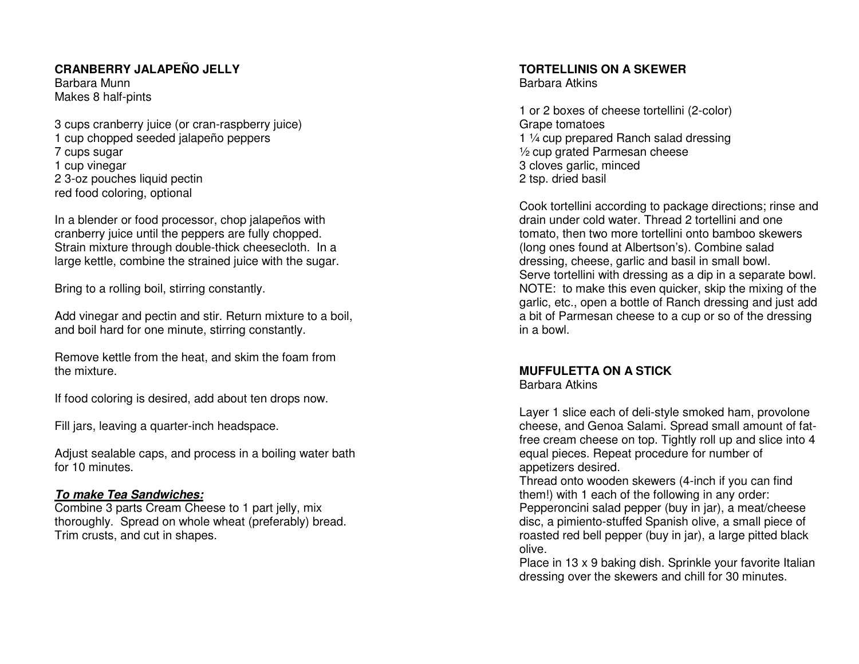#### **CRANBERRY JALAPEÑO JELLY**

Barbara Munn Makes 8 half-pints

3 cups cranberry juice (or cran-raspberry juice) 1 cup chopped seeded jalapeño peppers 7 cups sugar 1 cup vinegar 2 3-oz pouches liquid pectin red food coloring, optional

In a blender or food processor, chop jalapeños with cranberry juice until the peppers are fully chopped. Strain mixture through double-thick cheesecloth. In a large kettle, combine the strained juice with the sugar.

Bring to a rolling boil, stirring constantly.

Add vinegar and pectin and stir. Return mixture to a boil, and boil hard for one minute, stirring constantly.

Remove kettle from the heat, and skim the foam fromthe mixture.

If food coloring is desired, add about ten drops now.

Fill jars, leaving a quarter-inch headspace.

Adjust sealable caps, and process in a boiling water bath for 10 minutes.

#### **To make Tea Sandwiches:**

 Combine 3 parts Cream Cheese to 1 part jelly, mix thoroughly. Spread on whole wheat (preferably) bread. Trim crusts, and cut in shapes.

#### **TORTELLINIS ON A SKEWER**

Barbara Atkins

1 or 2 boxes of cheese tortellini (2-color) Grape tomatoes 1 ¼ cup prepared Ranch salad dressing ½ cup grated Parmesan cheese 3 cloves garlic, minced 2 tsp. dried basil

Cook tortellini according to package directions; rinse and drain under cold water. Thread 2 tortellini and one tomato, then two more tortellini onto bamboo skewers (long ones found at Albertson's). Combine salad dressing, cheese, garlic and basil in small bowl. Serve tortellini with dressing as a dip in a separate bowl. NOTE: to make this even quicker, skip the mixing of the garlic, etc., open a bottle of Ranch dressing and just add a bit of Parmesan cheese to a cup or so of the dressing in a bowl.

#### **MUFFULETTA ON A STICK**

Barbara Atkins

Layer 1 slice each of deli-style smoked ham, provolone cheese, and Genoa Salami. Spread small amount of fatfree cream cheese on top. Tightly roll up and slice into 4 equal pieces. Repeat procedure for number of appetizers desired.

 Thread onto wooden skewers (4-inch if you can find them!) with 1 each of the following in any order: Pepperoncini salad pepper (buy in jar), a meat/cheese disc, a pimiento-stuffed Spanish olive, a small piece of roasted red bell pepper (buy in jar), a large pitted black olive.

 Place in 13 x 9 baking dish. Sprinkle your favorite Italian dressing over the skewers and chill for 30 minutes.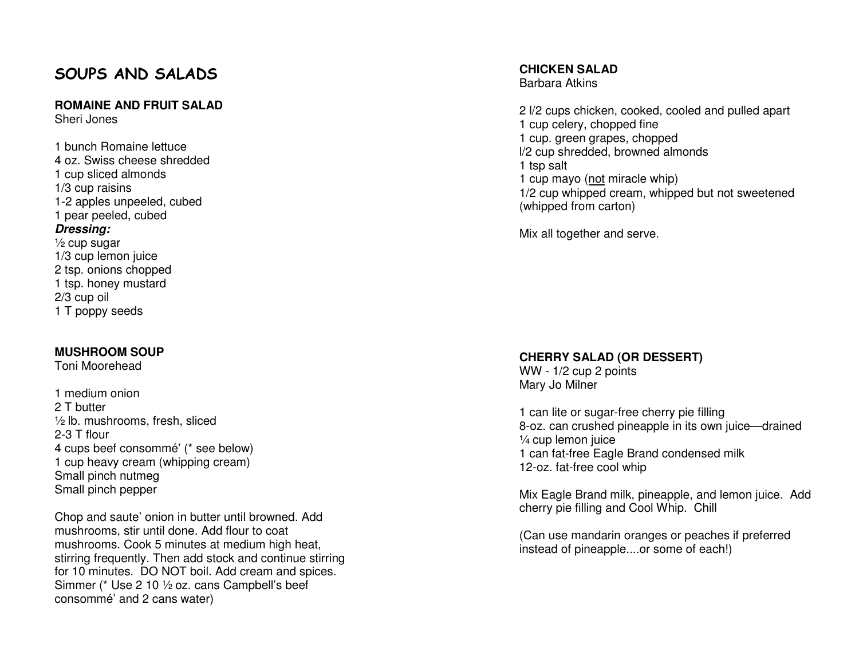## SOUPS AND SALADS

#### **ROMAINE AND FRUIT SALAD**

Sheri Jones

1 bunch Romaine lettuce 4 oz. Swiss cheese shredded 1 cup sliced almonds 1/3 cup raisins 1-2 apples unpeeled, cubed 1 pear peeled, cubed **Dressing:**  $\frac{1}{2}$  cup sugar 1/3 cup lemon juice 2 tsp. onions chopped 1 tsp. honey mustard 2/3 cup oil 1 T poppy seeds

#### **MUSHROOM SOUP**

Toni Moorehead

1 medium onion 2 T butter ½ lb. mushrooms, fresh, sliced 2-3 T flour 4 cups beef consommé' (\* see below) 1 cup heavy cream (whipping cream) Small pinch nutmeg Small pinch pepper

Chop and saute' onion in butter until browned. Add mushrooms, stir until done. Add flour to coat mushrooms. Cook 5 minutes at medium high heat, stirring frequently. Then add stock and continue stirring for 10 minutes. DO NOT boil. Add cream and spices.Simmer (\* Use 2 10 ½ oz. cans Campbell's beef consommé' and 2 cans water)

**CHICKEN SALAD** 

Barbara Atkins

2 l/2 cups chicken, cooked, cooled and pulled apart1 cup celery, chopped fine 1 cup. green grapes, chopped l/2 cup shredded, browned almonds 1 tsp salt 1 cup mayo (not miracle whip) 1/2 cup whipped cream, whipped but not sweetened (whipped from carton)

Mix all together and serve.

#### **CHERRY SALAD (OR DESSERT)**

WW - 1/2 cup 2 points Mary Jo Milner

1 can lite or sugar-free cherry pie filling 8-oz. can crushed pineapple in its own juice—drained 1/4 cup lemon juice 1 can fat-free Eagle Brand condensed milk 12-oz. fat-free cool whip

Mix Eagle Brand milk, pineapple, and lemon juice. Add cherry pie filling and Cool Whip. Chill

(Can use mandarin oranges or peaches if preferred instead of pineapple....or some of each!)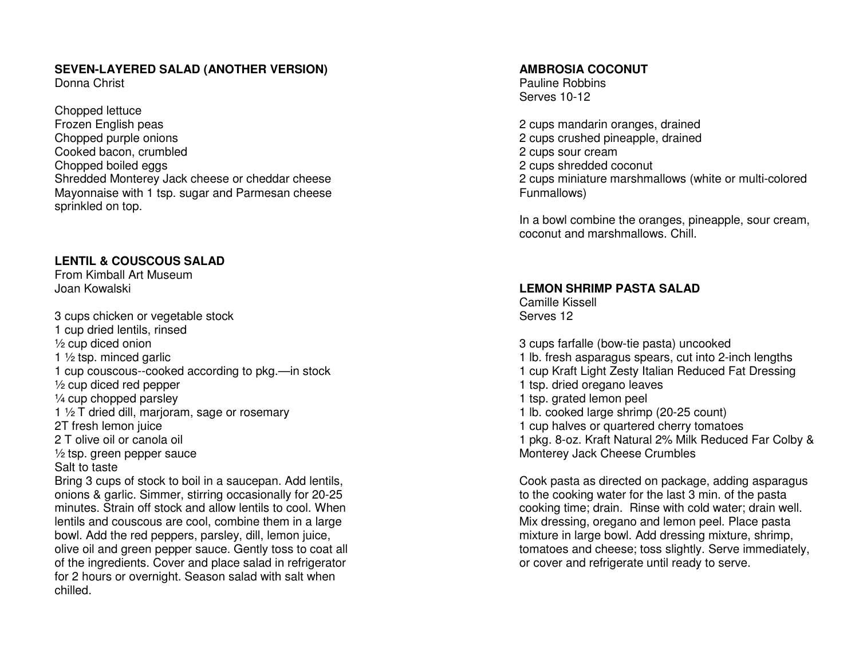#### **SEVEN-LAYERED SALAD (ANOTHER VERSION)**

Donna Christ

Chopped lettuce Frozen English peas Chopped purple onions Cooked bacon, crumbled Chopped boiled eggs Shredded Monterey Jack cheese or cheddar cheese Mayonnaise with 1 tsp. sugar and Parmesan cheese sprinkled on top.

#### **LENTIL & COUSCOUS SALAD**

From Kimball Art Museum Joan Kowalski

3 cups chicken or vegetable stock 1 cup dried lentils, rinsed ½ cup diced onion 1 ½ tsp. minced garlic 1 cup couscous--cooked according to pkg.—in stock ½ cup diced red pepper ¼ cup chopped parsley 1 ½ T dried dill, marjoram, sage or rosemary 2T fresh lemon juice 2 T olive oil or canola oil ½ tsp. green pepper sauce Salt to taste Bring 3 cups of stock to boil in a saucepan. Add lentils, onions & garlic. Simmer, stirring occasionally for 20-25 minutes. Strain off stock and allow lentils to cool. When lentils and couscous are cool, combine them in a large bowl. Add the red peppers, parsley, dill, lemon juice, olive oil and green pepper sauce. Gently toss to coat all of the ingredients. Cover and place salad in refrigerator for 2 hours or overnight. Season salad with salt when chilled.

#### **AMBROSIA COCONUT**

Pauline Robbins Serves 10-12

2 cups mandarin oranges, drained 2 cups crushed pineapple, drained 2 cups sour cream 2 cups shredded coconut 2 cups miniature marshmallows (white or multi-colored Funmallows)

In a bowl combine the oranges, pineapple, sour cream, coconut and marshmallows. Chill.

#### **LEMON SHRIMP PASTA SALAD**

Camille Kissell Serves 12

3 cups farfalle (bow-tie pasta) uncooked 1 lb. fresh asparagus spears, cut into 2-inch lengths 1 cup Kraft Light Zesty Italian Reduced Fat Dressing 1 tsp. dried oregano leaves 1 tsp. grated lemon peel 1 lb. cooked large shrimp (20-25 count) 1 cup halves or quartered cherry tomatoes 1 pkg. 8-oz. Kraft Natural 2% Milk Reduced Far Colby & Monterey Jack Cheese Crumbles

Cook pasta as directed on package, adding asparagusto the cooking water for the last 3 min. of the pasta cooking time; drain. Rinse with cold water; drain well. Mix dressing, oregano and lemon peel. Place pasta mixture in large bowl. Add dressing mixture, shrimp, tomatoes and cheese; toss slightly. Serve immediately, or cover and refrigerate until ready to serve.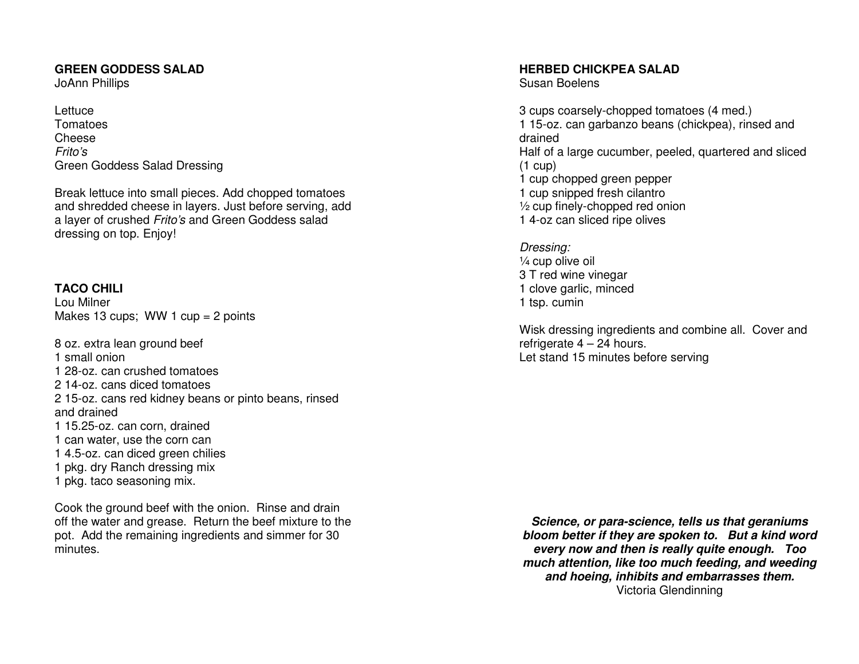#### **GREEN GODDESS SALAD**

JoAnn Phillips

Lettuce Tomatoes Cheese Frito's Green Goddess Salad Dressing

Break lettuce into small pieces. Add chopped tomatoes and shredded cheese in layers. Just before serving, add a layer of crushed Frito's and Green Goddess salad dressing on top. Enjoy!

#### **TACO CHILI**

Lou Milner Makes 13 cups; WW 1 cup = 2 points

8 oz. extra lean ground beef 1 small onion 1 28-oz. can crushed tomatoes 2 14-oz. cans diced tomatoes 2 15-oz. cans red kidney beans or pinto beans, rinsed and drained 1 15.25-oz. can corn, drained 1 can water, use the corn can 1 4.5-oz. can diced green chilies 1 pkg. dry Ranch dressing mix 1 pkg. taco seasoning mix.

Cook the ground beef with the onion. Rinse and drain off the water and grease. Return the beef mixture to the pot. Add the remaining ingredients and simmer for 30 minutes.

#### **HERBED CHICKPEA SALAD**

Susan Boelens

3 cups coarsely-chopped tomatoes (4 med.) 1 15-oz. can garbanzo beans (chickpea), rinsed and drained Half of a large cucumber, peeled, quartered and sliced  $(1 \text{ cup})$  1 cup chopped green pepper 1 cup snipped fresh cilantro ½ cup finely-chopped red onion 1 4-oz can sliced ripe olives

Dressing: ¼ cup olive oil 3 T red wine vinegar 1 clove garlic, minced 1 tsp. cumin

Wisk dressing ingredients and combine all. Cover and refrigerate  $4 - 24$  hours. Let stand 15 minutes before serving

**Science, or para-science, tells us that geraniums bloom better if they are spoken to. But a kind word every now and then is really quite enough. Too much attention, like too much feeding, and weeding and hoeing, inhibits and embarrasses them.** Victoria Glendinning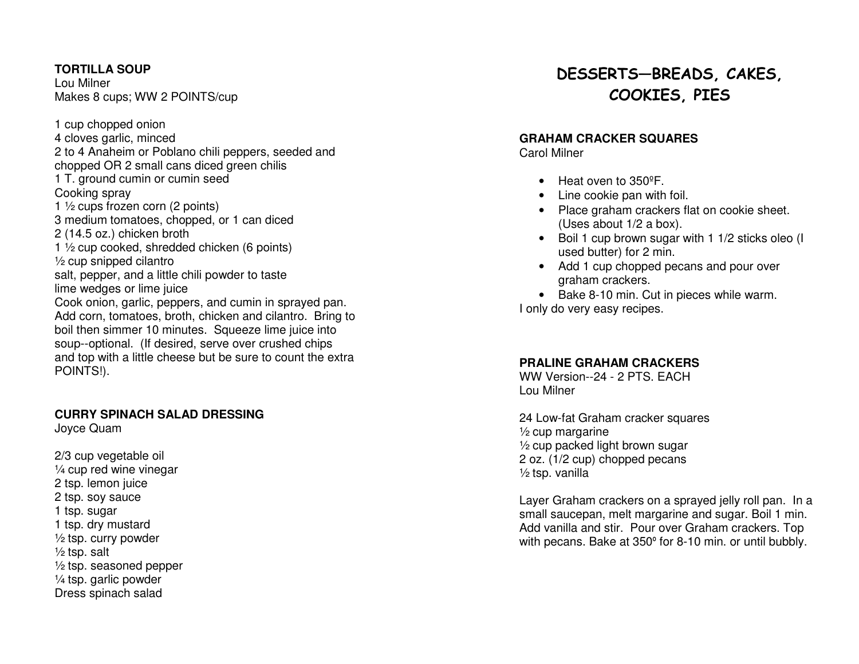#### **TORTILLA SOUP**

Lou Milner Makes 8 cups; WW 2 POINTS/cup

1 cup chopped onion 4 cloves garlic, minced 2 to 4 Anaheim or Poblano chili peppers, seeded andchopped OR 2 small cans diced green chilis 1 T. ground cumin or cumin seed Cooking spray 1 ½ cups frozen corn (2 points) 3 medium tomatoes, chopped, or 1 can diced 2 (14.5 oz.) chicken broth 1 ½ cup cooked, shredded chicken (6 points)  $\frac{1}{2}$  cup snipped cilantro salt, pepper, and a little chili powder to taste lime wedges or lime juice Cook onion, garlic, peppers, and cumin in sprayed pan. Add corn, tomatoes, broth, chicken and cilantro. Bring to boil then simmer 10 minutes. Squeeze lime juice into soup--optional. (If desired, serve over crushed chips and top with a little cheese but be sure to count the extra POINTS!).

#### **CURRY SPINACH SALAD DRESSING**

Joyce Quam

2/3 cup vegetable oil ¼ cup red wine vinegar 2 tsp. lemon juice 2 tsp. soy sauce 1 tsp. sugar 1 tsp. dry mustard ½ tsp. curry powder  $\frac{1}{2}$  tsp. salt ½ tsp. seasoned pepper ¼ tsp. garlic powder Dress spinach salad

## DESSERTS—BREADS, CAKES, COOKIES, PIES

#### **GRAHAM CRACKER SQUARES**

Carol Milner

- Heat oven to 350°F.
- Line cookie pan with foil.
- Place graham crackers flat on cookie sheet. (Uses about 1/2 a box).
- Boil 1 cup brown sugar with 1 1/2 sticks oleo (I used butter) for 2 min.
- Add 1 cup chopped pecans and pour over graham crackers.

• Bake 8-10 min. Cut in pieces while warm. I only do very easy recipes.

#### **PRALINE GRAHAM CRACKERS**

 WW Version--24 - 2 PTS. EACH Lou Milner

24 Low-fat Graham cracker squares ½ cup margarine ½ cup packed light brown sugar 2 oz. (1/2 cup) chopped pecans ½ tsp. vanilla

Layer Graham crackers on a sprayed jelly roll pan. In a small saucepan, melt margarine and sugar. Boil 1 min. Add vanilla and stir. Pour over Graham crackers. Top with pecans. Bake at 350º for 8-10 min. or until bubbly.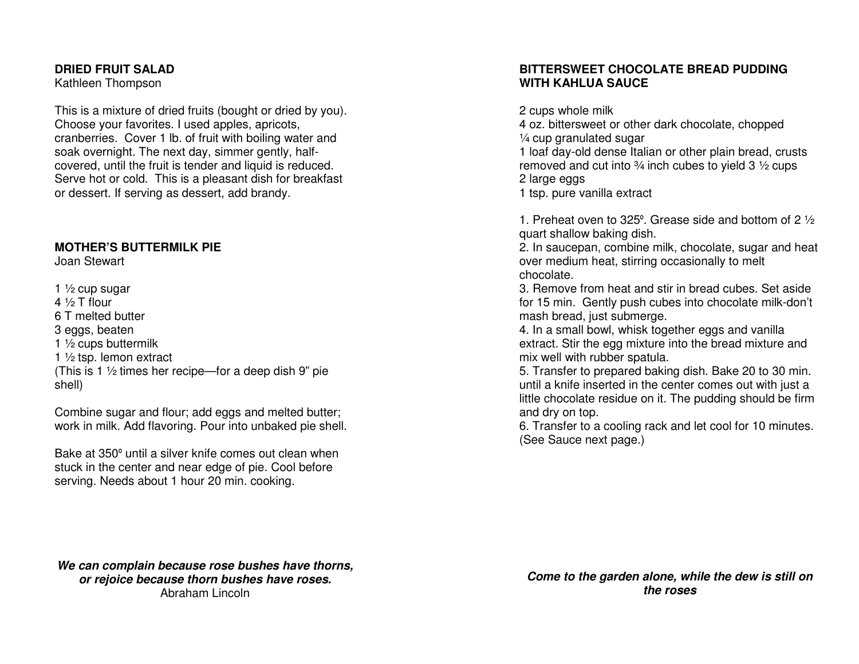#### **DRIED FRUIT SALAD**

Kathleen Thompson

This is a mixture of dried fruits (bought or dried by you). Choose your favorites. I used apples, apricots, cranberries. Cover 1 lb. of fruit with boiling water and soak overnight. The next day, simmer gently, halfcovered, until the fruit is tender and liquid is reduced. Serve hot or cold. This is a pleasant dish for breakfast or dessert. If serving as dessert, add brandy.

#### **MOTHER'S BUTTERMILK PIE**

Joan Stewart

1  $\frac{1}{2}$  cup sugar 4 ½ T flour 6 T melted butter 3 eggs, beaten 1 ½ cups buttermilk 1  $\frac{1}{2}$  tsp. lemon extract (This is 1 ½ times her recipe—for a deep dish 9" pie shell)

Combine sugar and flour; add eggs and melted butter; work in milk. Add flavoring. Pour into unbaked pie shell.

Bake at 350º until a silver knife comes out clean when stuck in the center and near edge of pie. Cool before serving. Needs about 1 hour 20 min. cooking.

#### **BITTERSWEET CHOCOLATE BREAD PUDDING WITH KAHLUA SAUCE**

2 cups whole milk 4 oz. bittersweet or other dark chocolate, chopped ¼ cup granulated sugar 1 loaf day-old dense Italian or other plain bread, crusts removed and cut into  $\frac{3}{4}$  inch cubes to yield 3  $\frac{1}{2}$  cups 2 large eggs 1 tsp. pure vanilla extract

1. Preheat oven to 325º. Grease side and bottom of 2 ½ quart shallow baking dish.

 2. In saucepan, combine milk, chocolate, sugar and heat over medium heat, stirring occasionally to melt chocolate.

 3. Remove from heat and stir in bread cubes. Set aside for 15 min. Gently push cubes into chocolate milk-don't mash bread, just submerge.

 4. In a small bowl, whisk together eggs and vanilla extract. Stir the egg mixture into the bread mixture and mix well with rubber spatula.

 5. Transfer to prepared baking dish. Bake 20 to 30 min. until a knife inserted in the center comes out with just a little chocolate residue on it. The pudding should be firm and dry on top.

 6. Transfer to a cooling rack and let cool for 10 minutes. (See Sauce next page.)

**We can complain because rose bushes have thorns, or rejoice because thorn bushes have roses.** Abraham Lincoln

**Come to the garden alone, while the dew is still onthe roses**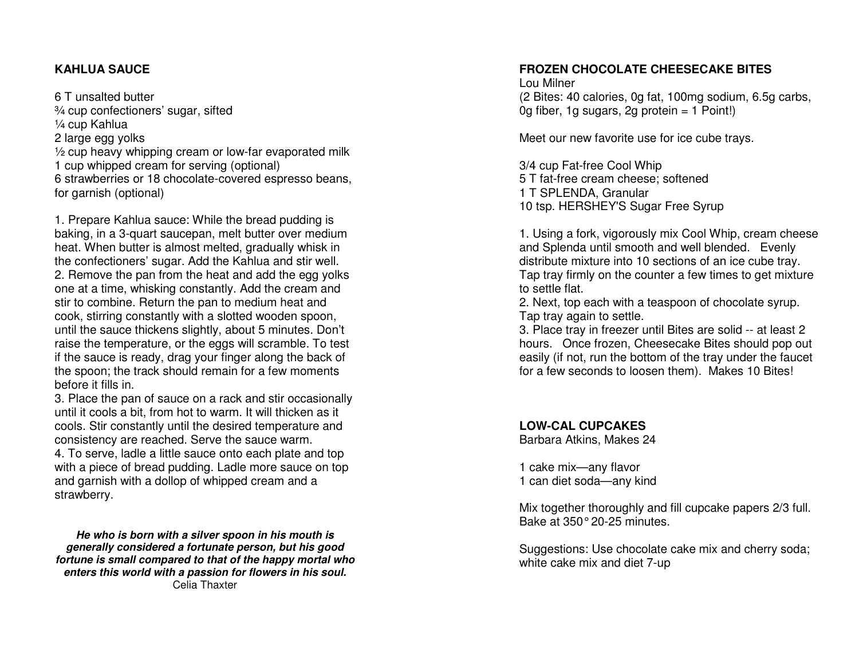#### **KAHLUA SAUCE**

6 T unsalted butter ¾ cup confectioners' sugar, sifted ¼ cup Kahlua 2 large egg yolks ½ cup heavy whipping cream or low-far evaporated milk 1 cup whipped cream for serving (optional) 6 strawberries or 18 chocolate-covered espresso beans, for garnish (optional)

1. Prepare Kahlua sauce: While the bread pudding is baking, in a 3-quart saucepan, melt butter over medium heat. When butter is almost melted, gradually whisk in the confectioners' sugar. Add the Kahlua and stir well. 2. Remove the pan from the heat and add the egg yolks one at a time, whisking constantly. Add the cream and stir to combine. Return the pan to medium heat and cook, stirring constantly with a slotted wooden spoon, until the sauce thickens slightly, about 5 minutes. Don't raise the temperature, or the eggs will scramble. To test if the sauce is ready, drag your finger along the back of the spoon; the track should remain for a few moments before it fills in.

 3. Place the pan of sauce on a rack and stir occasionally until it cools a bit, from hot to warm. It will thicken as it cools. Stir constantly until the desired temperature and consistency are reached. Serve the sauce warm. 4. To serve, ladle a little sauce onto each plate and top with a piece of bread pudding. Ladle more sauce on top and garnish with a dollop of whipped cream and a strawberry.

**He who is born with a silver spoon in his mouth is generally considered a fortunate person, but his good fortune is small compared to that of the happy mortal who enters this world with a passion for flowers in his soul.** Celia Thaxter

#### **FROZEN CHOCOLATE CHEESECAKE BITES**

Lou Milner (2 Bites: 40 calories, 0g fat, 100mg sodium, 6.5g carbs, 0g fiber, 1g sugars, 2g protein = 1 Point!)

Meet our new favorite use for ice cube trays.

3/4 cup Fat-free Cool Whip 5 T fat-free cream cheese; softened 1 T SPLENDA, Granular 10 tsp. HERSHEY'S Sugar Free Syrup

1. Using a fork, vigorously mix Cool Whip, cream cheese and Splenda until smooth and well blended. Evenly distribute mixture into 10 sections of an ice cube tray. Tap tray firmly on the counter a few times to get mixture to settle flat.

 2. Next, top each with a teaspoon of chocolate syrup. Tap tray again to settle.

 3. Place tray in freezer until Bites are solid -- at least 2 hours. Once frozen, Cheesecake Bites should pop out easily (if not, run the bottom of the tray under the faucet for a few seconds to loosen them). Makes 10 Bites!

**LOW-CAL CUPCAKES** 

Barbara Atkins, Makes 24

1 cake mix—any flavor 1 can diet soda—any kind

Mix together thoroughly and fill cupcake papers 2/3 full. Bake at 350° 20-25 minutes.

Suggestions: Use chocolate cake mix and cherry soda; white cake mix and diet 7-up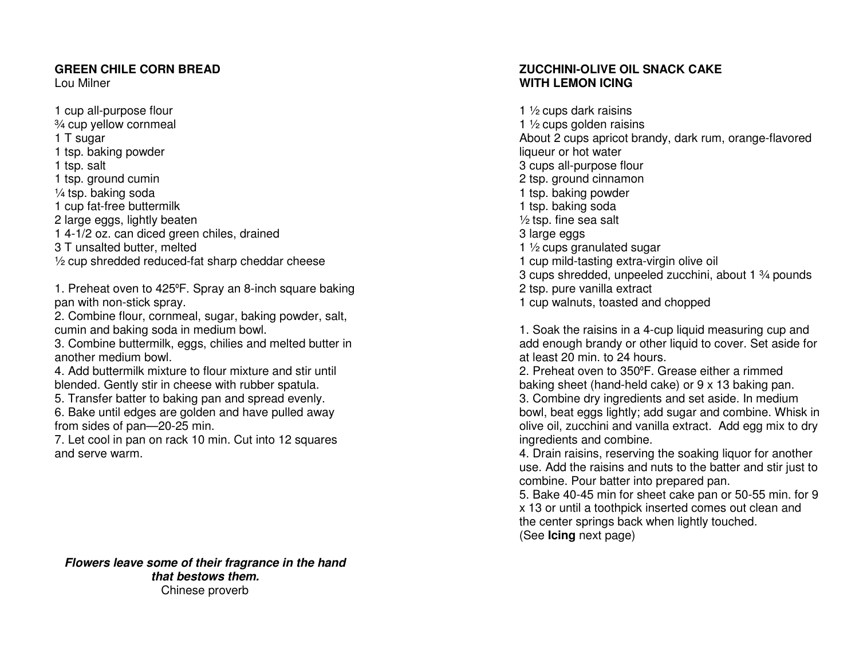#### **GREEN CHILE CORN BREAD**

Lou Milner

1 cup all-purpose flour ¾ cup yellow cornmeal 1 T sugar 1 tsp. baking powder 1 tsp. salt 1 tsp. ground cumin ¼ tsp. baking soda 1 cup fat-free buttermilk 2 large eggs, lightly beaten 1 4-1/2 oz. can diced green chiles, drained 3 T unsalted butter, melted ½ cup shredded reduced-fat sharp cheddar cheese

1. Preheat oven to 425ºF. Spray an 8-inch square baking pan with non-stick spray.

 2. Combine flour, cornmeal, sugar, baking powder, salt, cumin and baking soda in medium bowl.

 3. Combine buttermilk, eggs, chilies and melted butter in another medium bowl.

 4. Add buttermilk mixture to flour mixture and stir until blended. Gently stir in cheese with rubber spatula.

 5. Transfer batter to baking pan and spread evenly. 6. Bake until edges are golden and have pulled awayfrom sides of pan—20-25 min.

 7. Let cool in pan on rack 10 min. Cut into 12 squares and serve warm.

**ZUCCHINI-OLIVE OIL SNACK CAKE WITH LEMON ICING** 

1 ½ cups dark raisins 1 ½ cups golden raisins About 2 cups apricot brandy, dark rum, orange-flavored liqueur or hot water 3 cups all-purpose flour 2 tsp. ground cinnamon 1 tsp. baking powder 1 tsp. baking soda ½ tsp. fine sea salt 3 large eggs 1 ½ cups granulated sugar 1 cup mild-tasting extra-virgin olive oil 3 cups shredded, unpeeled zucchini, about 1 ¾ pounds 2 tsp. pure vanilla extract 1 cup walnuts, toasted and chopped

1. Soak the raisins in a 4-cup liquid measuring cup and add enough brandy or other liquid to cover. Set aside for at least 20 min. to 24 hours.

 2. Preheat oven to 350ºF. Grease either a rimmed baking sheet (hand-held cake) or 9 x 13 baking pan. 3. Combine dry ingredients and set aside. In medium bowl, beat eggs lightly; add sugar and combine. Whisk in olive oil, zucchini and vanilla extract. Add egg mix to dry ingredients and combine.

 4. Drain raisins, reserving the soaking liquor for another use. Add the raisins and nuts to the batter and stir just to combine. Pour batter into prepared pan.

 5. Bake 40-45 min for sheet cake pan or 50-55 min. for 9 x 13 or until a toothpick inserted comes out clean and the center springs back when lightly touched. (See **Icing** next page)

**Flowers leave some of their fragrance in the hand that bestows them.** Chinese proverb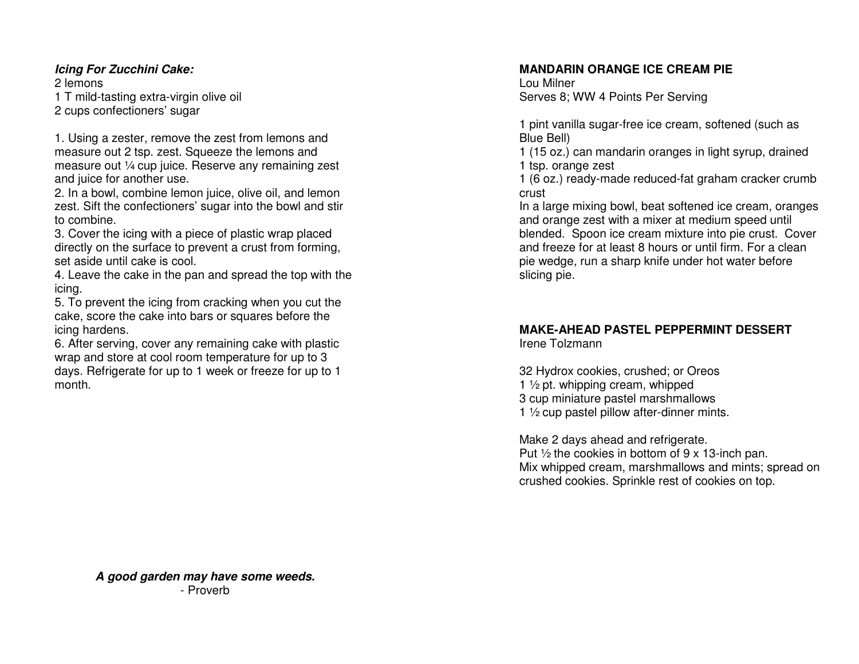#### **Icing For Zucchini Cake:**

2 lemons 1 T mild-tasting extra-virgin olive oil 2 cups confectioners' sugar

1. Using a zester, remove the zest from lemons and measure out 2 tsp. zest. Squeeze the lemons and measure out ¼ cup juice. Reserve any remaining zestand juice for another use.

 2. In a bowl, combine lemon juice, olive oil, and lemon zest. Sift the confectioners' sugar into the bowl and stir to combine.

 3. Cover the icing with a piece of plastic wrap placed directly on the surface to prevent a crust from forming, set aside until cake is cool.

 4. Leave the cake in the pan and spread the top with the icing.

 5. To prevent the icing from cracking when you cut the cake, score the cake into bars or squares before the icing hardens.

 6. After serving, cover any remaining cake with plastic wrap and store at cool room temperature for up to 3 days. Refrigerate for up to 1 week or freeze for up to 1 month.

#### **MANDARIN ORANGE ICE CREAM PIE**

Lou Milner Serves 8; WW 4 Points Per Serving

1 pint vanilla sugar-free ice cream, softened (such as Blue Bell)

 1 (15 oz.) can mandarin oranges in light syrup, drained 1 tsp. orange zest

 1 (6 oz.) ready-made reduced-fat graham cracker crumb crust

 In a large mixing bowl, beat softened ice cream, oranges and orange zest with a mixer at medium speed until blended. Spoon ice cream mixture into pie crust. Cover and freeze for at least 8 hours or until firm. For a clean pie wedge, run a sharp knife under hot water beforeslicing pie.

## **MAKE-AHEAD PASTEL PEPPERMINT DESSERT**

Irene Tolzmann

32 Hydrox cookies, crushed; or Oreos 1 ½ pt. whipping cream, whipped 3 cup miniature pastel marshmallows 1 ½ cup pastel pillow after-dinner mints.

Make 2 days ahead and refrigerate. Put  $\frac{1}{2}$  the cookies in bottom of 9 x 13-inch pan. Mix whipped cream, marshmallows and mints; spread on crushed cookies. Sprinkle rest of cookies on top.

**A good garden may have some weeds.** - Proverb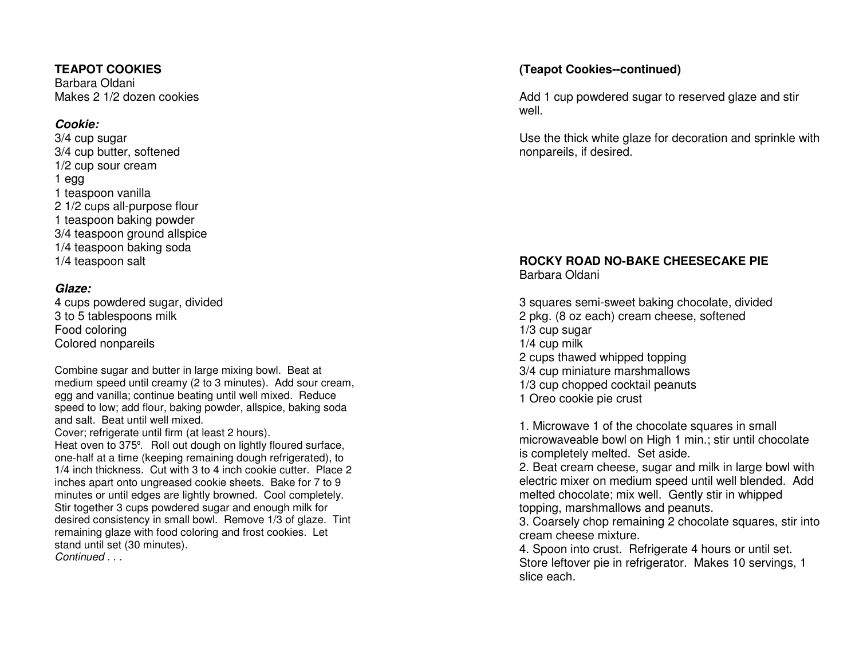#### **TEAPOT COOKIES**

Barbara Oldani Makes 2 1/2 dozen cookies

#### **Cookie:**

 3/4 cup sugar 3/4 cup butter, softened 1/2 cup sour cream 1 egg 1 teaspoon vanilla 2 1/2 cups all-purpose flour 1 teaspoon baking powder 3/4 teaspoon ground allspice 1/4 teaspoon baking soda 1/4 teaspoon salt

#### **Glaze:**

 4 cups powdered sugar, divided 3 to 5 tablespoons milk Food coloring Colored nonpareils

Combine sugar and butter in large mixing bowl. Beat at medium speed until creamy (2 to 3 minutes). Add sour cream, egg and vanilla; continue beating until well mixed. Reduce speed to low; add flour, baking powder, allspice, baking soda and salt. Beat until well mixed.

 Cover; refrigerate until firm (at least 2 hours). Heat oven to 375º. Roll out dough on lightly floured surface, one-half at a time (keeping remaining dough refrigerated), to 1/4 inch thickness. Cut with 3 to 4 inch cookie cutter. Place 2 inches apart onto ungreased cookie sheets. Bake for 7 to 9 minutes or until edges are lightly browned. Cool completely. Stir together 3 cups powdered sugar and enough milk for desired consistency in small bowl. Remove 1/3 of glaze. Tint remaining glaze with food coloring and frost cookies. Let stand until set (30 minutes). Continued ...

#### **(Teapot Cookies--continued)**

Add 1 cup powdered sugar to reserved glaze and stirwell.

Use the thick white glaze for decoration and sprinkle with nonpareils, if desired.

#### **ROCKY ROAD NO-BAKE CHEESECAKE PIE** Barbara Oldani

3 squares semi-sweet baking chocolate, divided 2 pkg. (8 oz each) cream cheese, softened 1/3 cup sugar 1/4 cup milk 2 cups thawed whipped topping 3/4 cup miniature marshmallows 1/3 cup chopped cocktail peanuts 1 Oreo cookie pie crust

1. Microwave 1 of the chocolate squares in small microwaveable bowl on High 1 min.; stir until chocolate is completely melted. Set aside.

 2. Beat cream cheese, sugar and milk in large bowl with electric mixer on medium speed until well blended. Add melted chocolate; mix well. Gently stir in whippedtopping, marshmallows and peanuts.

 3. Coarsely chop remaining 2 chocolate squares, stir into cream cheese mixture.

 4. Spoon into crust. Refrigerate 4 hours or until set. Store leftover pie in refrigerator. Makes 10 servings, 1 slice each.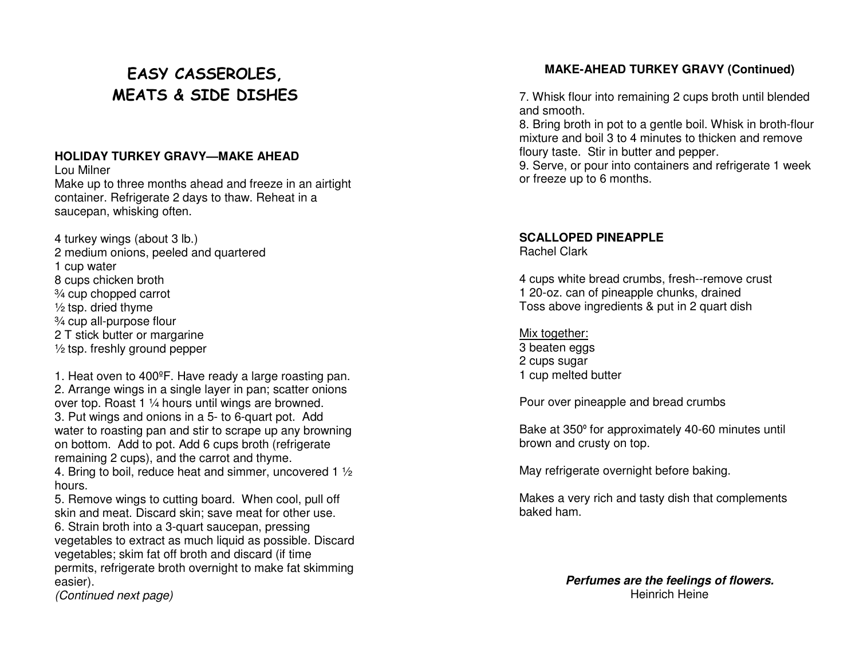## EASY CASSEROLES, MEATS & SIDE DISHES

#### **HOLIDAY TURKEY GRAVY—MAKE AHEAD**

Lou Milner Make up to three months ahead and freeze in an airtight container. Refrigerate 2 days to thaw. Reheat in a saucepan, whisking often.

4 turkey wings (about 3 lb.) 2 medium onions, peeled and quartered 1 cup water 8 cups chicken broth ¾ cup chopped carrot  $\frac{1}{2}$  tsp. dried thyme ¾ cup all-purpose flour 2 T stick butter or margarine ½ tsp. freshly ground pepper

1. Heat oven to 400ºF. Have ready a large roasting pan. 2. Arrange wings in a single layer in pan; scatter onions over top. Roast 1 ¼ hours until wings are browned. 3. Put wings and onions in a 5- to 6-quart pot. Add water to roasting pan and stir to scrape up any browning on bottom. Add to pot. Add 6 cups broth (refrigerate remaining 2 cups), and the carrot and thyme.

 4. Bring to boil, reduce heat and simmer, uncovered 1 ½ hours.

 5. Remove wings to cutting board. When cool, pull off skin and meat. Discard skin; save meat for other use. 6. Strain broth into a 3-quart saucepan, pressing vegetables to extract as much liquid as possible. Discard vegetables; skim fat off broth and discard (if time permits, refrigerate broth overnight to make fat skimming easier).

(Continued next page)

#### **MAKE-AHEAD TURKEY GRAVY (Continued)**

7. Whisk flour into remaining 2 cups broth until blended and smooth.

 8. Bring broth in pot to a gentle boil. Whisk in broth-flour mixture and boil 3 to 4 minutes to thicken and remove floury taste. Stir in butter and pepper.

 9. Serve, or pour into containers and refrigerate 1 week or freeze up to 6 months.

## **SCALLOPED PINEAPPLE**

Rachel Clark

4 cups white bread crumbs, fresh--remove crust 1 20-oz. can of pineapple chunks, drained Toss above ingredients & put in 2 quart dish

Mix together: 3 beaten eggs 2 cups sugar 1 cup melted butter

Pour over pineapple and bread crumbs

Bake at 350º for approximately 40-60 minutes until brown and crusty on top.

May refrigerate overnight before baking.

Makes a very rich and tasty dish that complements baked ham.

> **Perfumes are the feelings of flowers.** Heinrich Heine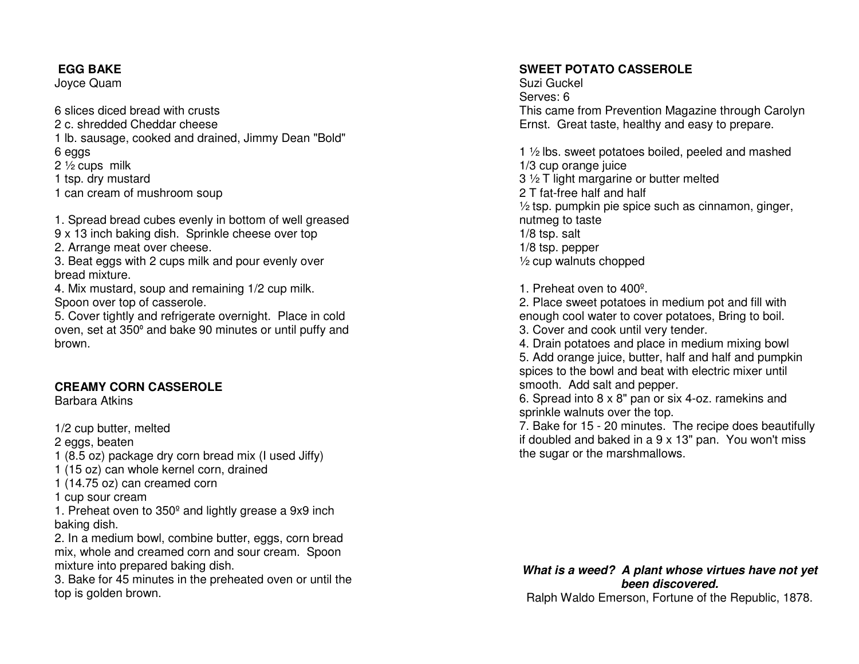#### **EGG BAKE**

Joyce Quam

6 slices diced bread with crusts 2 c. shredded Cheddar cheese 1 lb. sausage, cooked and drained, Jimmy Dean "Bold" 6 eggs 2 ½ cups milk 1 tsp. dry mustard 1 can cream of mushroom soup

1. Spread bread cubes evenly in bottom of well greased 9 x 13 inch baking dish. Sprinkle cheese over top 2. Arrange meat over cheese. 3. Beat eggs with 2 cups milk and pour evenly over bread mixture. 4. Mix mustard, soup and remaining 1/2 cup milk. Spoon over top of casserole. 5. Cover tightly and refrigerate overnight. Place in cold

 oven, set at 350º and bake 90 minutes or until puffy and brown.

#### **CREAMY CORN CASSEROLE**

Barbara Atkins

1/2 cup butter, melted 2 eggs, beaten 1 (8.5 oz) package dry corn bread mix (I used Jiffy) 1 (15 oz) can whole kernel corn, drained 1 (14.75 oz) can creamed corn 1 cup sour cream 1. Preheat oven to 350º and lightly grease a 9x9 inch baking dish. 2. In a medium bowl, combine butter, eggs, corn bread mix, whole and creamed corn and sour cream. Spoon mixture into prepared baking dish.

 3. Bake for 45 minutes in the preheated oven or until the top is golden brown.

#### **SWEET POTATO CASSEROLE**

Suzi Guckel Serves: 6 This came from Prevention Magazine through Carolyn Ernst. Great taste, healthy and easy to prepare.

1 ½ lbs. sweet potatoes boiled, peeled and mashed 1/3 cup orange juice 3 ½ T light margarine or butter melted 2 T fat-free half and half ½ tsp. pumpkin pie spice such as cinnamon, ginger, nutmeg to taste 1/8 tsp. salt 1/8 tsp. pepper ½ cup walnuts chopped

1. Preheat oven to 400º.

 2. Place sweet potatoes in medium pot and fill with enough cool water to cover potatoes, Bring to boil.3. Cover and cook until very tender.

 4. Drain potatoes and place in medium mixing bowl 5. Add orange juice, butter, half and half and pumpkin spices to the bowl and beat with electric mixer until smooth. Add salt and pepper.

 6. Spread into 8 x 8" pan or six 4-oz. ramekins andsprinkle walnuts over the top.

 7. Bake for 15 - 20 minutes. The recipe does beautifully if doubled and baked in a 9 x 13" pan. You won't miss the sugar or the marshmallows.

### **What is a weed? A plant whose virtues have not yetbeen discovered.**

Ralph Waldo Emerson, Fortune of the Republic, 1878.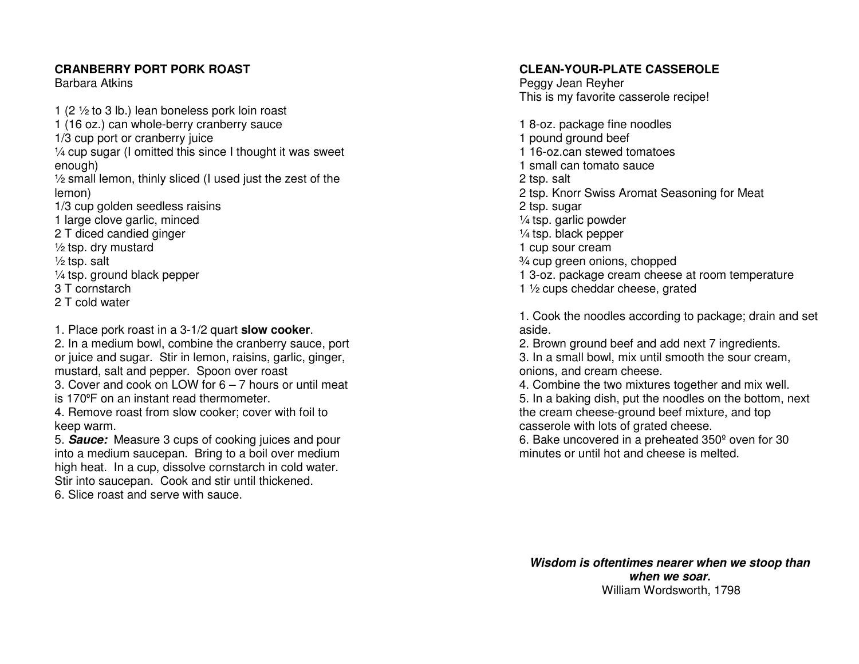#### **CRANBERRY PORT PORK ROAST**

Barbara Atkins

1 (2 ½ to 3 lb.) lean boneless pork loin roast 1 (16 oz.) can whole-berry cranberry sauce 1/3 cup port or cranberry juice ¼ cup sugar (I omitted this since I thought it was sweet enough) ½ small lemon, thinly sliced (I used just the zest of the lemon) 1/3 cup golden seedless raisins 1 large clove garlic, minced 2 T diced candied ginger  $\frac{1}{2}$  tsp. dry mustard  $\frac{1}{2}$  tsp. salt ¼ tsp. ground black pepper 3 T cornstarch 2 T cold water

1. Place pork roast in a 3-1/2 quart **slow cooker**. 2. In a medium bowl, combine the cranberry sauce, port or juice and sugar. Stir in lemon, raisins, garlic, ginger, mustard, salt and pepper. Spoon over roast

 3. Cover and cook on LOW for 6 – 7 hours or until meat is 170ºF on an instant read thermometer.

 4. Remove roast from slow cooker; cover with foil to keep warm.

 5. **Sauce:** Measure 3 cups of cooking juices and pour into a medium saucepan. Bring to a boil over medium high heat. In a cup, dissolve cornstarch in cold water. Stir into saucepan. Cook and stir until thickened.6. Slice roast and serve with sauce.

#### **CLEAN-YOUR-PLATE CASSEROLE**

Peggy Jean Reyher This is my favorite casserole recipe!

1 8-oz. package fine noodles 1 pound ground beef 1 16-oz.can stewed tomatoes 1 small can tomato sauce 2 tsp. salt 2 tsp. Knorr Swiss Aromat Seasoning for Meat 2 tsp. sugar ¼ tsp. garlic powder ¼ tsp. black pepper 1 cup sour cream ¾ cup green onions, chopped 1 3-oz. package cream cheese at room temperature 1 ½ cups cheddar cheese, grated

1. Cook the noodles according to package; drain and set aside.

 2. Brown ground beef and add next 7 ingredients. 3. In a small bowl, mix until smooth the sour cream, onions, and cream cheese.

 4. Combine the two mixtures together and mix well. 5. In a baking dish, put the noodles on the bottom, next the cream cheese-ground beef mixture, and top casserole with lots of grated cheese.

 6. Bake uncovered in a preheated 350º oven for 30 minutes or until hot and cheese is melted.

**Wisdom is oftentimes nearer when we stoop than when we soar.** William Wordsworth, 1798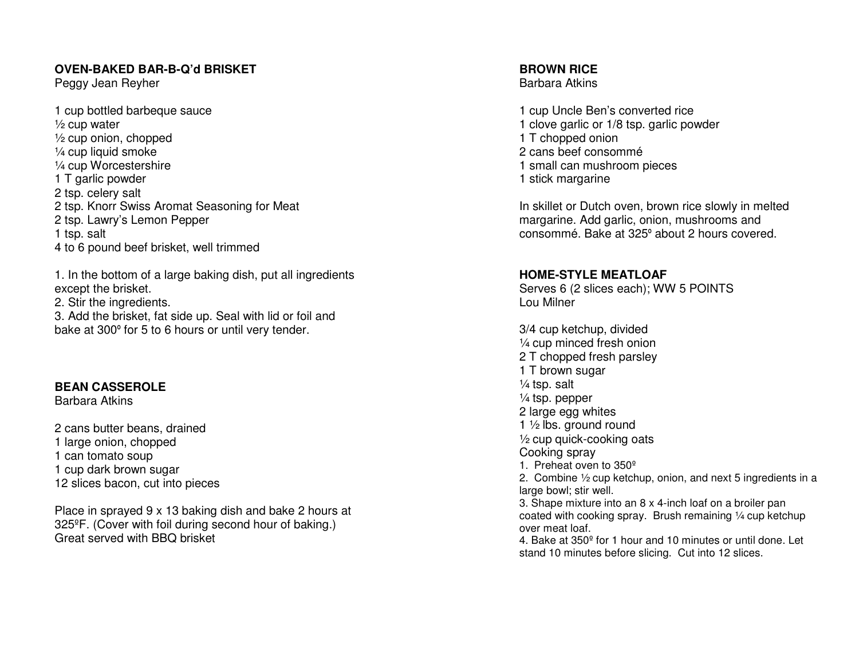#### **OVEN-BAKED BAR-B-Q'd BRISKET**

Peggy Jean Reyher

1 cup bottled barbeque sauce  $\frac{1}{2}$  cup water ½ cup onion, chopped ¼ cup liquid smoke ¼ cup Worcestershire 1 T garlic powder 2 tsp. celery salt 2 tsp. Knorr Swiss Aromat Seasoning for Meat 2 tsp. Lawry's Lemon Pepper 1 tsp. salt 4 to 6 pound beef brisket, well trimmed

1. In the bottom of a large baking dish, put all ingredients except the brisket. 2. Stir the ingredients.

 3. Add the brisket, fat side up. Seal with lid or foil and bake at 300º for 5 to 6 hours or until very tender.

#### **BEAN CASSEROLE**

Barbara Atkins

2 cans butter beans, drained 1 large onion, chopped 1 can tomato soup 1 cup dark brown sugar 12 slices bacon, cut into pieces

Place in sprayed 9 x 13 baking dish and bake 2 hours at 325ºF. (Cover with foil during second hour of baking.) Great served with BBQ brisket

**BROWN RICE** 

Barbara Atkins

1 cup Uncle Ben's converted rice 1 clove garlic or 1/8 tsp. garlic powder 1 T chopped onion 2 cans beef consommé 1 small can mushroom pieces 1 stick margarine

In skillet or Dutch oven, brown rice slowly in melted margarine. Add garlic, onion, mushrooms and consommé. Bake at 325º about 2 hours covered.

#### **HOME-STYLE MEATLOAF**

 Serves 6 (2 slices each); WW 5 POINTS Lou Milner

3/4 cup ketchup, divided ¼ cup minced fresh onion 2 T chopped fresh parsley 1 T brown sugar  $\frac{1}{4}$  tsp. salt ¼ tsp. pepper 2 large egg whites 1 ½ lbs. ground round ½ cup quick-cooking oats Cooking spray 1. Preheat oven to 350<sup>o</sup> 2. Combine ½ cup ketchup, onion, and next 5 ingredients in a large bowl; stir well. 3. Shape mixture into an 8 x 4-inch loaf on a broiler pan coated with cooking spray. Brush remaining ¼ cup ketchup over meat loaf. 4. Bake at 350º for 1 hour and 10 minutes or until done. Let stand 10 minutes before slicing. Cut into 12 slices.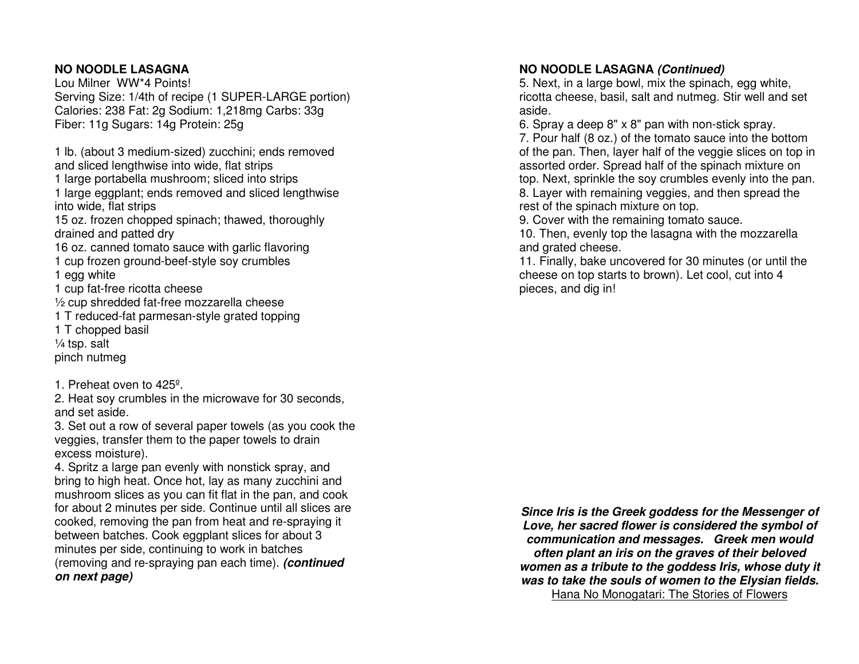#### **NO NOODLE LASAGNA**

 Lou Milner WW\*4 Points! Serving Size: 1/4th of recipe (1 SUPER-LARGE portion) Calories: 238 Fat: 2g Sodium: 1,218mg Carbs: 33g Fiber: 11g Sugars: 14g Protein: 25g

1 lb. (about 3 medium-sized) zucchini; ends removedand sliced lengthwise into wide, flat strips 1 large portabella mushroom; sliced into strips

 1 large eggplant; ends removed and sliced lengthwise into wide, flat strips

 15 oz. frozen chopped spinach; thawed, thoroughly drained and patted dry

 16 oz. canned tomato sauce with garlic flavoring 1 cup frozen ground-beef-style soy crumbles

1 egg white

1 cup fat-free ricotta cheese

½ cup shredded fat-free mozzarella cheese

1 T reduced-fat parmesan-style grated topping

1 T chopped basil

 $\frac{1}{4}$  tsp. salt

pinch nutmeg

1. Preheat oven to 425º.

 2. Heat soy crumbles in the microwave for 30 seconds, and set aside.

 3. Set out a row of several paper towels (as you cook the veggies, transfer them to the paper towels to drainexcess moisture).

 4. Spritz a large pan evenly with nonstick spray, and bring to high heat. Once hot, lay as many zucchini and mushroom slices as you can fit flat in the pan, and cook for about 2 minutes per side. Continue until all slices are cooked, removing the pan from heat and re-spraying it between batches. Cook eggplant slices for about 3 minutes per side, continuing to work in batches (removing and re-spraying pan each time). **(continued on next page)**

#### **NO NOODLE LASAGNA (Continued)**

 5. Next, in a large bowl, mix the spinach, egg white, ricotta cheese, basil, salt and nutmeg. Stir well and set aside.

6. Spray a deep 8" x 8" pan with non-stick spray.

 7. Pour half (8 oz.) of the tomato sauce into the bottom of the pan. Then, layer half of the veggie slices on top in assorted order. Spread half of the spinach mixture on top. Next, sprinkle the soy crumbles evenly into the pan. 8. Layer with remaining veggies, and then spread the rest of the spinach mixture on top.

9. Cover with the remaining tomato sauce.

 10. Then, evenly top the lasagna with the mozzarella and grated cheese.

 11. Finally, bake uncovered for 30 minutes (or until the cheese on top starts to brown). Let cool, cut into 4 pieces, and dig in!

**Since Iris is the Greek goddess for the Messenger of Love, her sacred flower is considered the symbol of communication and messages. Greek men would often plant an iris on the graves of their beloved women as a tribute to the goddess Iris, whose duty it was to take the souls of women to the Elysian fields.** Hana No Monogatari: The Stories of Flowers